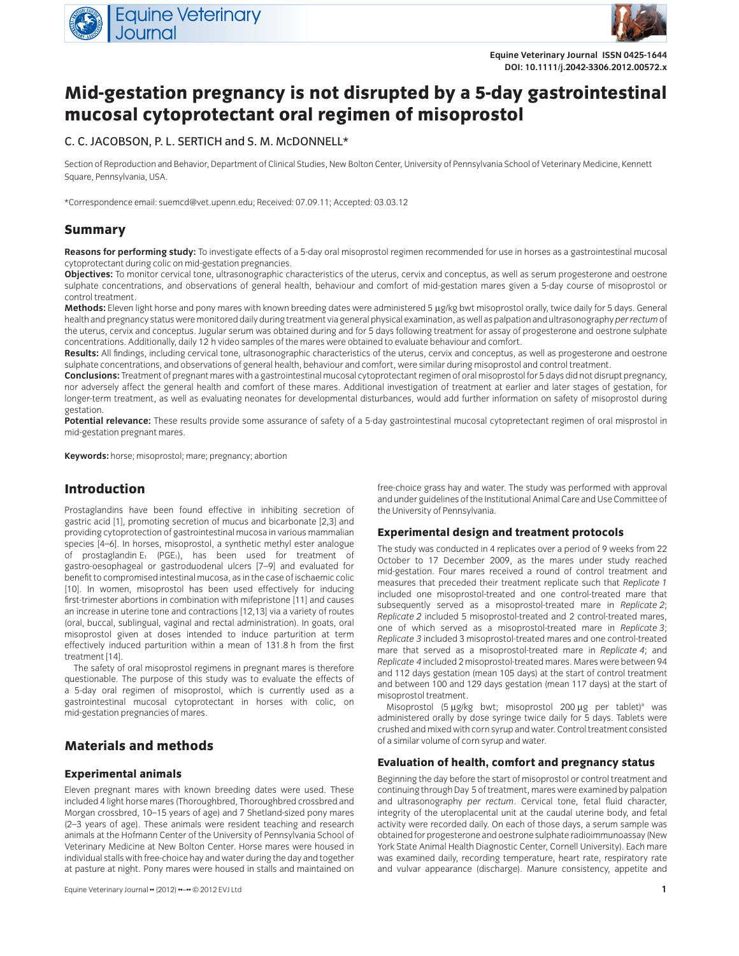



**Equine Veterinary Journal ISSN 0425-1644 DOI: 10.1111/j.2042-3306.2012.00572.x**

# **Mid-gestation pregnancy is not disrupted by a 5-day gastrointestinal mucosal cytoprotectant oral regimen of misoprostol**

## C. C. JACOBSON, P. L. SERTICH and S. M. MCDONNELL\*

Section of Reproduction and Behavior, Department of Clinical Studies, New Bolton Center, University of Pennsylvania School of Veterinary Medicine, Kennett Square, Pennsylvania, USA.

\*Correspondence email: suemcd@vet.upenn.edu; Received: 07.09.11; Accepted: 03.03.12

## **Summary**

**Reasons for performing study:** To investigate effects of a 5-day oral misoprostol regimen recommended for use in horses as a gastrointestinal mucosal cytoprotectant during colic on mid-gestation pregnancies.

**Objectives:** To monitor cervical tone, ultrasonographic characteristics of the uterus, cervix and conceptus, as well as serum progesterone and oestrone sulphate concentrations, and observations of general health, behaviour and comfort of mid-gestation mares given a 5-day course of misoprostol or control treatment.

Methods: Eleven light horse and pony mares with known breeding dates were administered 5 µg/kg bwt misoprostol orally, twice daily for 5 days. General health and pregnancy status were monitored daily during treatment via general physical examination, as well as palpation and ultrasonography *per rectum* of the uterus, cervix and conceptus. Jugular serum was obtained during and for 5 days following treatment for assay of progesterone and oestrone sulphate concentrations. Additionally, daily 12 h video samples of the mares were obtained to evaluate behaviour and comfort.

Results: All findings, including cervical tone, ultrasonographic characteristics of the uterus, cervix and conceptus, as well as progesterone and oestrone sulphate concentrations, and observations of general health, behaviour and comfort, were similar during misoprostol and control treatment.

**Conclusions:** Treatment of pregnant mares with a gastrointestinal mucosal cytoprotectant regimen of oral misoprostol for 5 days did not disrupt pregnancy, nor adversely affect the general health and comfort of these mares. Additional investigation of treatment at earlier and later stages of gestation, for longer-term treatment, as well as evaluating neonates for developmental disturbances, would add further information on safety of misoprostol during gestation.

**Potential relevance:** These results provide some assurance of safety of a 5-day gastrointestinal mucosal cytopretectant regimen of oral misprostol in mid-gestation pregnant mares.

**Keywords:** horse; misoprostol; mare; pregnancy; abortion

# **Introduction**

Prostaglandins have been found effective in inhibiting secretion of gastric acid [1], promoting secretion of mucus and bicarbonate [2,3] and providing cytoprotection of gastrointestinal mucosa in various mammalian species [4–6]. In horses, misoprostol, a synthetic methyl ester analogue of prostaglandin  $E_1$  (PGE<sub>1</sub>), has been used for treatment of gastro-oesophageal or gastroduodenal ulcers [7–9] and evaluated for benefit to compromised intestinal mucosa, as in the case of ischaemic colic [10]. In women, misoprostol has been used effectively for inducing first-trimester abortions in combination with mifepristone [11] and causes an increase in uterine tone and contractions [12,13] via a variety of routes (oral, buccal, sublingual, vaginal and rectal administration). In goats, oral misoprostol given at doses intended to induce parturition at term effectively induced parturition within a mean of 131.8 h from the first treatment [14].

The safety of oral misoprostol regimens in pregnant mares is therefore questionable. The purpose of this study was to evaluate the effects of a 5-day oral regimen of misoprostol, which is currently used as a gastrointestinal mucosal cytoprotectant in horses with colic, on mid-gestation pregnancies of mares.

# **Materials and methods**

#### **Experimental animals**

Eleven pregnant mares with known breeding dates were used. These included 4 light horse mares (Thoroughbred, Thoroughbred crossbred and Morgan crossbred, 10–15 years of age) and 7 Shetland-sized pony mares (2–3 years of age). These animals were resident teaching and research animals at the Hofmann Center of the University of Pennsylvania School of Veterinary Medicine at New Bolton Center. Horse mares were housed in individual stalls with free-choice hay and water during the day and together at pasture at night. Pony mares were housed in stalls and maintained on

free-choice grass hay and water. The study was performed with approval and under guidelines of the Institutional Animal Care and Use Committee of the University of Pennsylvania.

#### **Experimental design and treatment protocols**

The study was conducted in 4 replicates over a period of 9 weeks from 22 October to 17 December 2009, as the mares under study reached mid-gestation. Four mares received a round of control treatment and measures that preceded their treatment replicate such that *Replicate 1* included one misoprostol-treated and one control-treated mare that subsequently served as a misoprostol-treated mare in *Replicate 2*; *Replicate 2* included 5 misoprostol-treated and 2 control-treated mares, one of which served as a misoprostol-treated mare in *Replicate 3*; *Replicate 3* included 3 misoprostol-treated mares and one control-treated mare that served as a misoprostol-treated mare in *Replicate 4*; and *Replicate 4* included 2 misoprostol-treated mares. Mares were between 94 and 112 days gestation (mean 105 days) at the start of control treatment and between 100 and 129 days gestation (mean 117 days) at the start of misoprostol treatment.

Misoprostol (5  $\mu$ g/kg bwt; misoprostol 200  $\mu$ g per tablet)<sup>a</sup> was administered orally by dose syringe twice daily for 5 days. Tablets were crushed and mixed with corn syrup and water. Control treatment consisted of a similar volume of corn syrup and water.

#### **Evaluation of health, comfort and pregnancy status**

Beginning the day before the start of misoprostol or control treatment and continuing through Day 5 of treatment, mares were examined by palpation and ultrasonography *per rectum*. Cervical tone, fetal fluid character, integrity of the uteroplacental unit at the caudal uterine body, and fetal activity were recorded daily. On each of those days, a serum sample was obtained for progesterone and oestrone sulphate radioimmunoassay (New York State Animal Health Diagnostic Center, Cornell University). Each mare was examined daily, recording temperature, heart rate, respiratory rate and vulvar appearance (discharge). Manure consistency, appetite and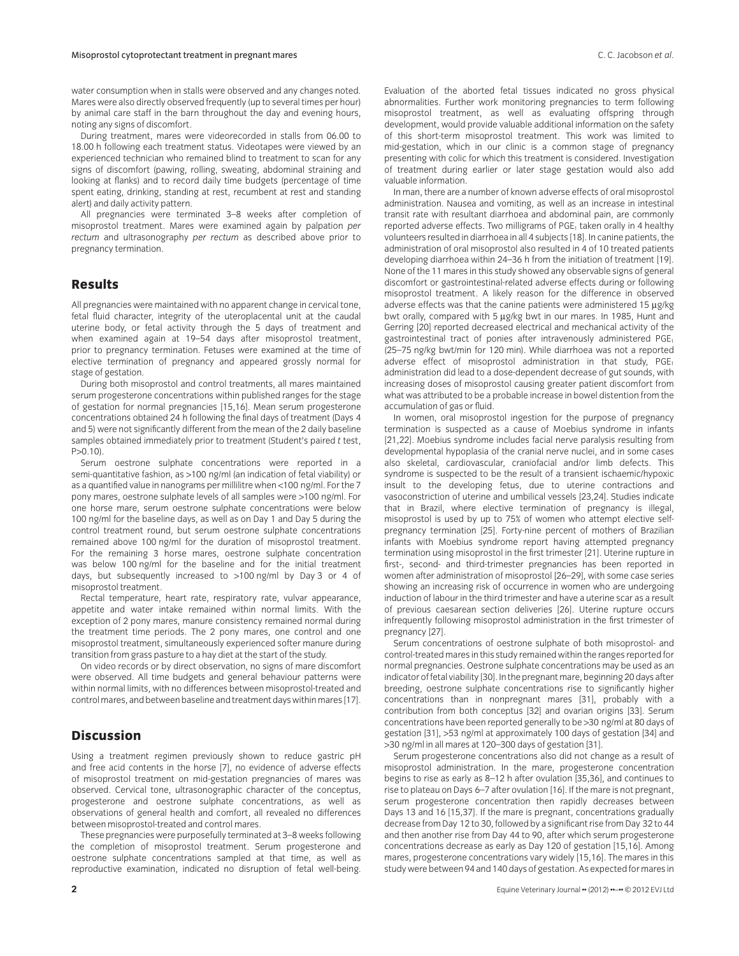During treatment, mares were videorecorded in stalls from 06.00 to 18.00 h following each treatment status. Videotapes were viewed by an experienced technician who remained blind to treatment to scan for any signs of discomfort (pawing, rolling, sweating, abdominal straining and looking at flanks) and to record daily time budgets (percentage of time spent eating, drinking, standing at rest, recumbent at rest and standing alert) and daily activity pattern.

All pregnancies were terminated 3–8 weeks after completion of misoprostol treatment. Mares were examined again by palpation *per rectum* and ultrasonography *per rectum* as described above prior to pregnancy termination.

#### **Results**

All pregnancies were maintained with no apparent change in cervical tone, fetal fluid character, integrity of the uteroplacental unit at the caudal uterine body, or fetal activity through the 5 days of treatment and when examined again at 19–54 days after misoprostol treatment, prior to pregnancy termination. Fetuses were examined at the time of elective termination of pregnancy and appeared grossly normal for stage of gestation.

During both misoprostol and control treatments, all mares maintained serum progesterone concentrations within published ranges for the stage of gestation for normal pregnancies [15,16]. Mean serum progesterone concentrations obtained 24 h following the final days of treatment (Days 4 and 5) were not significantly different from the mean of the 2 daily baseline samples obtained immediately prior to treatment (Student's paired *t* test,  $P > 0.10$ .

Serum oestrone sulphate concentrations were reported in a semi-quantitative fashion, as >100 ng/ml (an indication of fetal viability) or as a quantified value in nanograms per millilitre when <100 ng/ml. For the 7 pony mares, oestrone sulphate levels of all samples were >100 ng/ml. For one horse mare, serum oestrone sulphate concentrations were below 100 ng/ml for the baseline days, as well as on Day 1 and Day 5 during the control treatment round, but serum oestrone sulphate concentrations remained above 100 ng/ml for the duration of misoprostol treatment. For the remaining 3 horse mares, oestrone sulphate concentration was below 100 ng/ml for the baseline and for the initial treatment days, but subsequently increased to >100 ng/ml by Day 3 or 4 of misoprostol treatment.

Rectal temperature, heart rate, respiratory rate, vulvar appearance, appetite and water intake remained within normal limits. With the exception of 2 pony mares, manure consistency remained normal during the treatment time periods. The 2 pony mares, one control and one misoprostol treatment, simultaneously experienced softer manure during transition from grass pasture to a hay diet at the start of the study.

On video records or by direct observation, no signs of mare discomfort were observed. All time budgets and general behaviour patterns were within normal limits, with no differences between misoprostol-treated and control mares, and between baseline and treatment days within mares [17].

## **Discussion**

Using a treatment regimen previously shown to reduce gastric pH and free acid contents in the horse [7], no evidence of adverse effects of misoprostol treatment on mid-gestation pregnancies of mares was observed. Cervical tone, ultrasonographic character of the conceptus, progesterone and oestrone sulphate concentrations, as well as observations of general health and comfort, all revealed no differences between misoprostol-treated and control mares.

These pregnancies were purposefully terminated at 3–8 weeks following the completion of misoprostol treatment. Serum progesterone and oestrone sulphate concentrations sampled at that time, as well as reproductive examination, indicated no disruption of fetal well-being.

Evaluation of the aborted fetal tissues indicated no gross physical abnormalities. Further work monitoring pregnancies to term following misoprostol treatment, as well as evaluating offspring through development, would provide valuable additional information on the safety of this short-term misoprostol treatment. This work was limited to mid-gestation, which in our clinic is a common stage of pregnancy presenting with colic for which this treatment is considered. Investigation of treatment during earlier or later stage gestation would also add valuable information.

In man, there are a number of known adverse effects of oral misoprostol administration. Nausea and vomiting, as well as an increase in intestinal transit rate with resultant diarrhoea and abdominal pain, are commonly reported adverse effects. Two milligrams of PGE<sub>1</sub> taken orally in 4 healthy volunteers resulted in diarrhoea in all 4 subjects [18]. In canine patients, the administration of oral misoprostol also resulted in 4 of 10 treated patients developing diarrhoea within 24–36 h from the initiation of treatment [19]. None of the 11 mares in this study showed any observable signs of general discomfort or gastrointestinal-related adverse effects during or following misoprostol treatment. A likely reason for the difference in observed adverse effects was that the canine patients were administered  $15 \mu g/kg$ bwt orally, compared with 5 µg/kg bwt in our mares. In 1985, Hunt and Gerring [20] reported decreased electrical and mechanical activity of the gastrointestinal tract of ponies after intravenously administered PGE<sub>1</sub> (25–75 ng/kg bwt/min for 120 min). While diarrhoea was not a reported adverse effect of misoprostol administration in that study,  $PGE_1$ administration did lead to a dose-dependent decrease of gut sounds, with increasing doses of misoprostol causing greater patient discomfort from what was attributed to be a probable increase in bowel distention from the accumulation of gas or fluid.

In women, oral misoprostol ingestion for the purpose of pregnancy termination is suspected as a cause of Moebius syndrome in infants [21,22]. Moebius syndrome includes facial nerve paralysis resulting from developmental hypoplasia of the cranial nerve nuclei, and in some cases also skeletal, cardiovascular, craniofacial and/or limb defects. This syndrome is suspected to be the result of a transient ischaemic/hypoxic insult to the developing fetus, due to uterine contractions and vasoconstriction of uterine and umbilical vessels [23,24]. Studies indicate that in Brazil, where elective termination of pregnancy is illegal, misoprostol is used by up to 75% of women who attempt elective selfpregnancy termination [25]. Forty-nine percent of mothers of Brazilian infants with Moebius syndrome report having attempted pregnancy termination using misoprostol in the first trimester [21]. Uterine rupture in first-, second- and third-trimester pregnancies has been reported in women after administration of misoprostol [26–29], with some case series showing an increasing risk of occurrence in women who are undergoing induction of labour in the third trimester and have a uterine scar as a result of previous caesarean section deliveries [26]. Uterine rupture occurs infrequently following misoprostol administration in the first trimester of pregnancy [27].

Serum concentrations of oestrone sulphate of both misoprostol- and control-treated mares in this study remained within the ranges reported for normal pregnancies. Oestrone sulphate concentrations may be used as an indicator of fetal viability [30]. In the pregnant mare, beginning 20 days after breeding, oestrone sulphate concentrations rise to significantly higher concentrations than in nonpregnant mares [31], probably with a contribution from both conceptus [32] and ovarian origins [33]. Serum concentrations have been reported generally to be >30 ng/ml at 80 days of gestation [31], >53 ng/ml at approximately 100 days of gestation [34] and >30 ng/ml in all mares at 120–300 days of gestation [31].

Serum progesterone concentrations also did not change as a result of misoprostol administration. In the mare, progesterone concentration begins to rise as early as 8–12 h after ovulation [35,36], and continues to rise to plateau on Days 6–7 after ovulation [16]. If the mare is not pregnant, serum progesterone concentration then rapidly decreases between Days 13 and 16 [15,37]. If the mare is pregnant, concentrations gradually decrease from Day 12 to 30, followed by a significant rise from Day 32 to 44 and then another rise from Day 44 to 90, after which serum progesterone concentrations decrease as early as Day 120 of gestation [15,16]. Among mares, progesterone concentrations vary widely [15,16]. The mares in this study were between 94 and 140 days of gestation. As expected for mares in